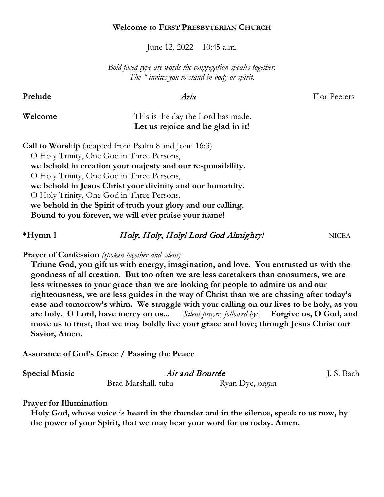#### **Welcome to FIRST PRESBYTERIAN CHURCH**

June 12, 2022—10:45 a.m.

*Bold-faced type are words the congregation speaks together. The \* invites you to stand in body or spirit.* 

**Prelude** Flor Peeters

**Welcome** This is the day the Lord has made. **Let us rejoice and be glad in it!**

**Call to Worship** (adapted from Psalm 8 and John 16:3) O Holy Trinity, One God in Three Persons, **we behold in creation your majesty and our responsibility.** O Holy Trinity, One God in Three Persons, **we behold in Jesus Christ your divinity and our humanity.** O Holy Trinity, One God in Three Persons, **we behold in the Spirit of truth your glory and our calling. Bound to you forever, we will ever praise your name!**

**\*Hymn 1** *Holy, Holy, Holy! Lord God Almighty!* NICEA

**Prayer of Confession** *(spoken together and silent)*

**Triune God, you gift us with energy, imagination, and love. You entrusted us with the goodness of all creation. But too often we are less caretakers than consumers, we are less witnesses to your grace than we are looking for people to admire us and our righteousness, we are less guides in the way of Christ than we are chasing after today's ease and tomorrow's whim. We struggle with your calling on our lives to be holy, as you are holy. O Lord, have mercy on us...** [*Silent prayer, followed by:*]**Forgive us, O God, and move us to trust, that we may boldly live your grace and love; through Jesus Christ our Savior, Amen.**

**Assurance of God's Grace / Passing the Peace**

**Special Music Air and Bourrée Air and Health Allemanuel Air and Allemanuel Air and Allemanuel Air and Allemanuel Air and Allemanuel Air Allemanuel Air and Bourrée <b>J. S. Bach** Brad Marshall, tuba Ryan Dye, organ

**Prayer for Illumination**

**Holy God, whose voice is heard in the thunder and in the silence, speak to us now, by the power of your Spirit, that we may hear your word for us today. Amen.**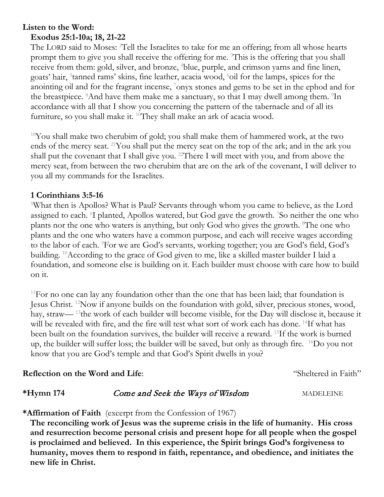# **Listen to the Word:**

### **Exodus 25:1-10a; 18, 21-22**

The LORD said to Moses: <sup>2</sup>Tell the Israelites to take for me an offering; from all whose hearts prompt them to give you shall receive the offering for me. <sup>3</sup>This is the offering that you shall receive from them: gold, silver, and bronze, <sup>4</sup>blue, purple, and crimson yarns and fine linen, goats' hair, <sup>5</sup>tanned rams' skins, fine leather, acacia wood, <sup>6</sup>oil for the lamps, spices for the anointing oil and for the fragrant incense, <sup>7</sup>onyx stones and gems to be set in the ephod and for the breastpiece. <sup>8</sup>And have them make me a sanctuary, so that I may dwell among them. <sup>9</sup>In accordance with all that I show you concerning the pattern of the tabernacle and of all its furniture, so you shall make it.  $^{10}$ They shall make an ark of acacia wood.

 $18$ You shall make two cherubim of gold; you shall make them of hammered work, at the two ends of the mercy seat. 21You shall put the mercy seat on the top of the ark; and in the ark you shall put the covenant that I shall give you. <sup>22</sup>There I will meet with you, and from above the mercy seat, from between the two cherubim that are on the ark of the covenant, I will deliver to you all my commands for the Israelites.

#### **1 Corinthians 3:5-16**

5 What then is Apollos? What is Paul? Servants through whom you came to believe, as the Lord assigned to each. <sup>6</sup>I planted, Apollos watered, but God gave the growth. <sup>7</sup>So neither the one who plants nor the one who waters is anything, but only God who gives the growth. <sup>8</sup>The one who plants and the one who waters have a common purpose, and each will receive wages according to the labor of each. <sup>9</sup>For we are God's servants, working together; you are God's field, God's building. 10According to the grace of God given to me, like a skilled master builder I laid a foundation, and someone else is building on it. Each builder must choose with care how to build on it.

 $11$ For no one can lay any foundation other than the one that has been laid; that foundation is Jesus Christ. 12Now if anyone builds on the foundation with gold, silver, precious stones, wood, hay, straw— <sup>13</sup>the work of each builder will become visible, for the Day will disclose it, because it will be revealed with fire, and the fire will test what sort of work each has done. <sup>14</sup>If what has been built on the foundation survives, the builder will receive a reward. <sup>15</sup>If the work is burned up, the builder will suffer loss; the builder will be saved, but only as through fire.  $^{16}$ Do you not know that you are God's temple and that God's Spirit dwells in you?

#### **Reflection on the Word and Life:** The South of Sheltered in Faith"

## \*Hymn 174 *Come and Seek the Ways of Wisdom* MADELEINE

**\*Affirmation of Faith** (excerpt from the Confession of 1967)

**The reconciling work of Jesus was the supreme crisis in the life of humanity. His cross and resurrection become personal crisis and present hope for all people when the gospel is proclaimed and believed. In this experience, the Spirit brings God's forgiveness to humanity, moves them to respond in faith, repentance, and obedience, and initiates the new life in Christ.**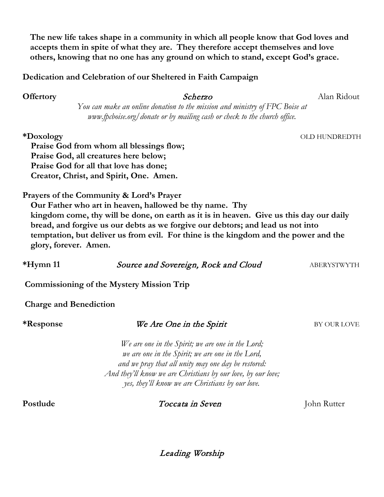**The new life takes shape in a community in which all people know that God loves and accepts them in spite of what they are. They therefore accept themselves and love others, knowing that no one has any ground on which to stand, except God's grace.**

#### **Dedication and Celebration of our Sheltered in Faith Campaign**

**Offertory** Alan Ridout

*You can make an online donation to the mission and ministry of FPC Boise at www.fpcboise.org/donate or by mailing cash or check to the church office.* 

**\*Doxology** OLD HUNDREDTH

**Praise God from whom all blessings flow; Praise God, all creatures here below; Praise God for all that love has done; Creator, Christ, and Spirit, One. Amen.** 

**Prayers of the Community & Lord's Prayer Our Father who art in heaven, hallowed be thy name. Thy kingdom come, thy will be done, on earth as it is in heaven. Give us this day our daily bread, and forgive us our debts as we forgive our debtors; and lead us not into temptation, but deliver us from evil. For thine is the kingdom and the power and the glory, forever. Amen.**

\*Hymn 11 **Source and Sovereign, Rock and Cloud** ABERYSTWYTH

**Commissioning of the Mystery Mission Trip**

**Charge and Benediction** 

**\*Response We Are One in the Spirit** BY OUR LOVE

*We are one in the Spirit; we are one in the Lord; we are one in the Spirit; we are one in the Lord, and we pray that all unity may one day be restored: And they'll know we are Christians by our love, by our love; yes, they'll know we are Christians by our love.*

**Postlude Toccata in Seven** John Rutter

Leading Worship